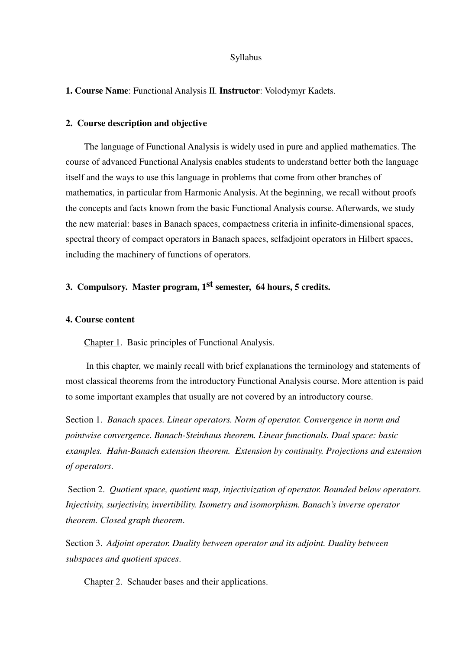#### Syllabus

#### **1. Course Name**: Functional Analysis II. **Instructor**: Volodymyr Kadets.

#### **2. Course description and objective**

The language of Functional Analysis is widely used in pure and applied mathematics. The course of advanced Functional Analysis enables students to understand better both the language itself and the ways to use this language in problems that come from other branches of mathematics, in particular from Harmonic Analysis. At the beginning, we recall without proofs the concepts and facts known from the basic Functional Analysis course. Afterwards, we study the new material: bases in Banach spaces, compactness criteria in infinite-dimensional spaces, spectral theory of compact operators in Banach spaces, selfadjoint operators in Hilbert spaces, including the machinery of functions of operators.

# **3. Compulsory. Master program, 1st semester, 64 hours, 5 credits.**

#### **4. Course content**

Chapter 1. Basic principles of Functional Analysis.

In this chapter, we mainly recall with brief explanations the terminology and statements of most classical theorems from the introductory Functional Analysis course. More attention is paid to some important examples that usually are not covered by an introductory course.

Section 1. *Banach spaces. Linear operators. Norm of operator. Convergence in norm and pointwise convergence. Banach-Steinhaus theorem. Linear functionals. Dual space: basic examples. Hahn-Banach extension theorem. Extension by continuity. Projections and extension of operators*.

 Section 2. *Quotient space, quotient map, injectivization of operator. Bounded below operators. Injectivity, surjectivity, invertibility. Isometry and isomorphism. Banach's inverse operator theorem. Closed graph theorem*.

Section 3. *Adjoint operator. Duality between operator and its adjoint. Duality between subspaces and quotient spaces*.

Chapter 2. Schauder bases and their applications.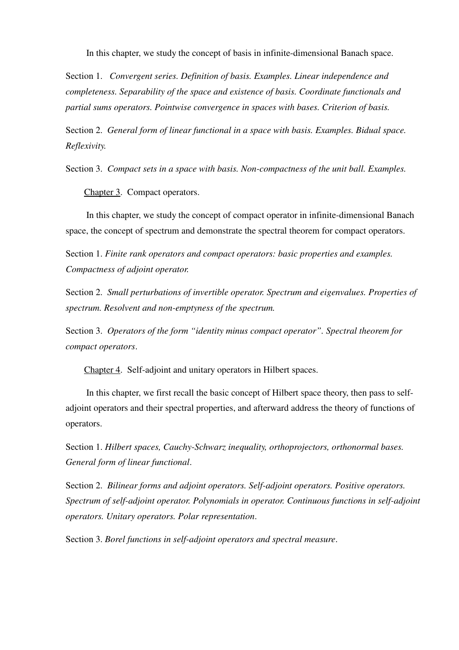In this chapter, we study the concept of basis in infinite-dimensional Banach space.

Section 1. *Convergent series. Definition of basis. Examples. Linear independence and completeness. Separability of the space and existence of basis. Coordinate functionals and partial sums operators. Pointwise convergence in spaces with bases. Criterion of basis.*

Section 2. *General form of linear functional in a space with basis. Examples. Bidual space. Reflexivity.*

Section 3. *Compact sets in a space with basis. Non-compactness of the unit ball. Examples.*

Chapter 3. Compact operators.

In this chapter, we study the concept of compact operator in infinite-dimensional Banach space, the concept of spectrum and demonstrate the spectral theorem for compact operators.

Section 1. *Finite rank operators and compact operators: basic properties and examples. Compactness of adjoint operator.*

Section 2. *Small perturbations of invertible operator. Spectrum and eigenvalues. Properties of spectrum. Resolvent and non-emptyness of the spectrum.*

Section 3. *Operators of the form "identity minus compact operator". Spectral theorem for compact operators*.

Chapter 4. Self-adjoint and unitary operators in Hilbert spaces.

In this chapter, we first recall the basic concept of Hilbert space theory, then pass to selfadjoint operators and their spectral properties, and afterward address the theory of functions of operators.

Section 1. *Hilbert spaces, Cauchy-Schwarz inequality, orthoprojectors, orthonormal bases. General form of linear functional*.

Section 2. *Bilinear forms and adjoint operators. Self-adjoint operators. Positive operators. Spectrum of self-adjoint operator. Polynomials in operator. Continuous functions in self-adjoint operators. Unitary operators. Polar representation*.

Section 3. *Borel functions in self-adjoint operators and spectral measure*.